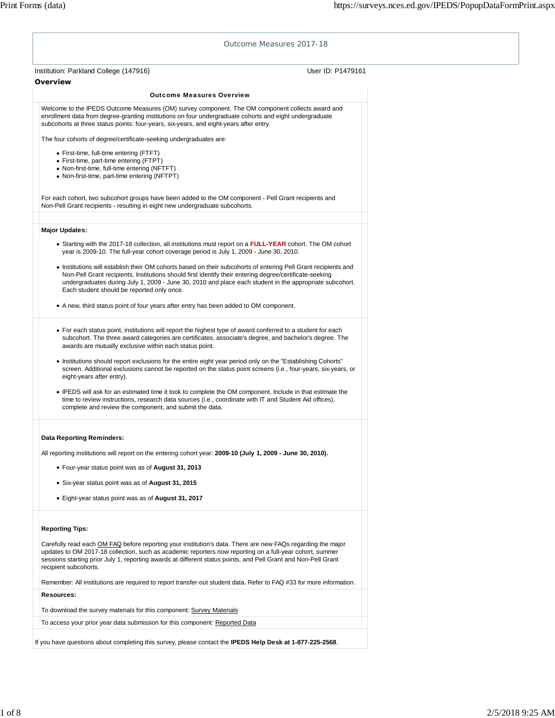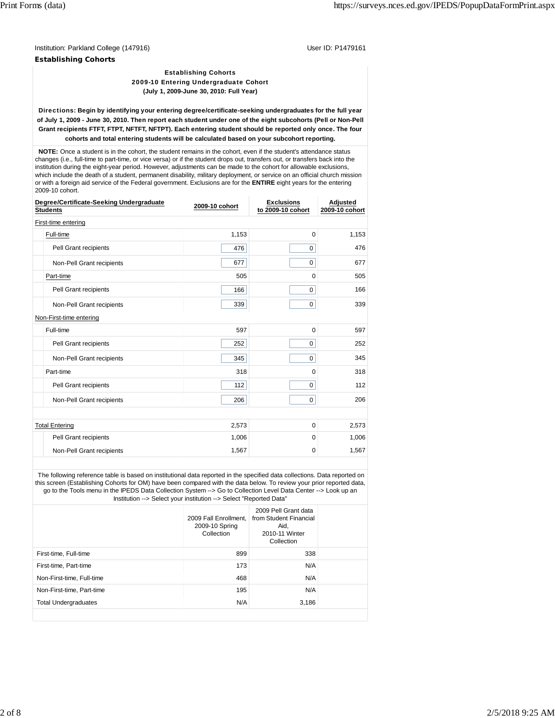Institution: Parkland College (147916) User ID: P1479161

**Establishing Cohorts**

Establishing Cohorts 2009-10 Entering Undergraduate Cohort **(July 1, 2009-June 30, 2010: Full Year)**

Directions: **Begin by identifying your entering degree/certificate-seeking undergraduates for the full year of July 1, 2009 - June 30, 2010. Then report each student under one of the eight subcohorts (Pell or Non-Pell Grant recipients FTFT, FTPT, NFTFT, NFTPT). Each entering student should be reported only once. The four cohorts and total entering students will be calculated based on your subcohort reporting.**

 **NOTE:** Once a student is in the cohort, the student remains in the cohort, even if the student's attendance status changes (i.e., full-time to part-time, or vice versa) or if the student drops out, transfers out, or transfers back into the institution during the eight-year period. However, adjustments can be made to the cohort for allowable exclusions, which include the death of a student, permanent disability, military deployment, or service on an official church mission or with a foreign aid service of the Federal government. Exclusions are for the **ENTIRE** eight years for the entering 2009-10 cohort.

| Degree/Certificate-Seeking Undergraduate<br><b>Students</b> | 2009-10 cohort | <b>Exclusions</b><br>to 2009-10 cohort | Adjusted<br>2009-10 cohort |  |  |  |  |  |  |  |
|-------------------------------------------------------------|----------------|----------------------------------------|----------------------------|--|--|--|--|--|--|--|
| First-time entering                                         |                |                                        |                            |  |  |  |  |  |  |  |
| Full-time                                                   | 1,153          | $\Omega$                               | 1,153                      |  |  |  |  |  |  |  |
| Pell Grant recipients                                       | 476            | $\mathbf 0$                            | 476                        |  |  |  |  |  |  |  |
| Non-Pell Grant recipients                                   | 677            | $\mathbf 0$                            | 677                        |  |  |  |  |  |  |  |
| Part-time                                                   | 505            | $\Omega$                               | 505                        |  |  |  |  |  |  |  |
| Pell Grant recipients                                       | 166            | $\mathbf 0$                            | 166                        |  |  |  |  |  |  |  |
| Non-Pell Grant recipients                                   | 339            | 0                                      | 339                        |  |  |  |  |  |  |  |
| Non-First-time entering                                     |                |                                        |                            |  |  |  |  |  |  |  |
| Full-time                                                   | 597            | $\mathbf 0$                            | 597                        |  |  |  |  |  |  |  |
| Pell Grant recipients                                       | 252            | $\mathbf 0$                            | 252                        |  |  |  |  |  |  |  |
| Non-Pell Grant recipients                                   | 345            | $\mathbf 0$                            | 345                        |  |  |  |  |  |  |  |
| Part-time                                                   | 318            | $\Omega$                               | 318                        |  |  |  |  |  |  |  |
| Pell Grant recipients                                       | 112            | $\mathbf 0$                            | 112                        |  |  |  |  |  |  |  |
| Non-Pell Grant recipients                                   | 206            | $\mathbf 0$                            | 206                        |  |  |  |  |  |  |  |
|                                                             |                |                                        |                            |  |  |  |  |  |  |  |
| <b>Total Entering</b>                                       | 2,573          | $\mathbf 0$                            | 2,573                      |  |  |  |  |  |  |  |
| Pell Grant recipients                                       | 1,006          | 0                                      | 1,006                      |  |  |  |  |  |  |  |
| Non-Pell Grant recipients                                   | 1,567          | 0                                      | 1,567                      |  |  |  |  |  |  |  |

 The following reference table is based on institutional data reported in the specified data collections. Data reported on this screen (Establishing Cohorts for OM) have been compared with the data below. To review your prior reported data, go to the Tools menu in the IPEDS Data Collection System --> Go to Collection Level Data Center --> Look up an Institution --> Select your institution --> Select "Reported Data"

|                             | 2009 Fall Enrollment.<br>2009-10 Spring<br>Collection | 2009 Pell Grant data<br>from Student Financial<br>Aid.<br>2010-11 Winter<br>Collection |  |
|-----------------------------|-------------------------------------------------------|----------------------------------------------------------------------------------------|--|
| First-time, Full-time       | 899                                                   | 338                                                                                    |  |
| First-time, Part-time       | 173                                                   | N/A                                                                                    |  |
| Non-First-time, Full-time   | 468                                                   | N/A                                                                                    |  |
| Non-First-time, Part-time   | 195                                                   | N/A                                                                                    |  |
| <b>Total Undergraduates</b> | N/A                                                   | 3,186                                                                                  |  |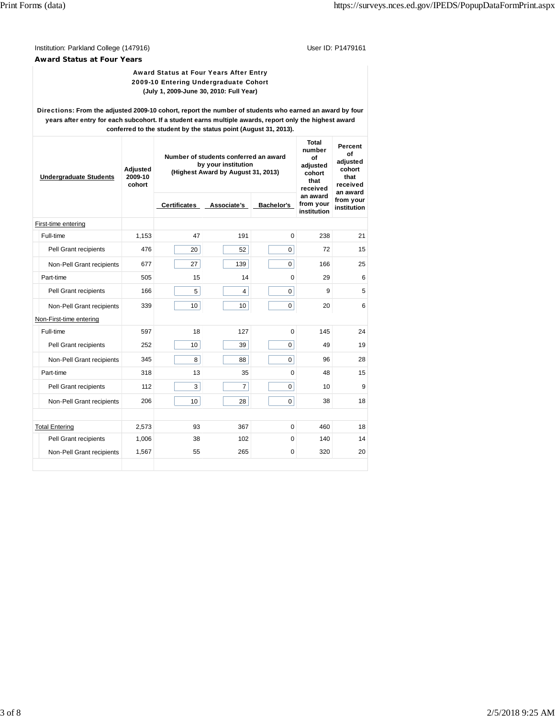Institution: Parkland College (147916) <br>
User ID: P1479161

**Award Status at Four Years**

# Award Status at Four Years After Entry 2009-10 Entering Undergraduate Cohort **(July 1, 2009-June 30, 2010: Full Year)**

Directions: **From the adjusted 2009-10 cohort, report the number of students who earned an award by four years after entry for each subcohort. If a student earns multiple awards, report only the highest award conferred to the student by the status point (August 31, 2013).**

| <b>Undergraduate Students</b> | Adjusted<br>2009-10<br>cohort | Number of students conferred an award<br>by your institution<br>(Highest Award by August 31, 2013) | Total<br>number<br>of<br>adjusted<br>cohort<br>that<br>received | Percent<br>οf<br>adjusted<br>cohort<br>that<br>received<br>an award |                                      |                          |
|-------------------------------|-------------------------------|----------------------------------------------------------------------------------------------------|-----------------------------------------------------------------|---------------------------------------------------------------------|--------------------------------------|--------------------------|
|                               |                               | <b>Certificates</b>                                                                                | Associate's                                                     | Bachelor's                                                          | an award<br>from your<br>institution | from your<br>institution |
| First-time entering           |                               |                                                                                                    |                                                                 |                                                                     |                                      |                          |
| Full-time                     | 1,153                         | 47                                                                                                 | 191                                                             | 0                                                                   | 238                                  | 21                       |
| Pell Grant recipients         | 476                           | 20                                                                                                 | 52                                                              | $\Omega$                                                            | 72                                   | 15                       |
| Non-Pell Grant recipients     | 677                           | 27                                                                                                 | 139                                                             | $\Omega$                                                            | 166                                  | 25                       |
| Part-time                     | 505                           | 15                                                                                                 | 14                                                              | $\Omega$                                                            | 29                                   | 6                        |
| Pell Grant recipients         | 166                           | 5                                                                                                  | $\overline{4}$                                                  | $\mathbf 0$                                                         | 9                                    | 5                        |
| Non-Pell Grant recipients     | 339                           | 10 <sup>1</sup>                                                                                    | 10 <sup>1</sup>                                                 | 0                                                                   | 20                                   | 6                        |
| Non-First-time entering       |                               |                                                                                                    |                                                                 |                                                                     |                                      |                          |
| Full-time                     | 597                           | 18                                                                                                 | 127                                                             | 0                                                                   | 145                                  | 24                       |
| Pell Grant recipients         | 252                           | 10                                                                                                 | 39                                                              | 0                                                                   | 49                                   | 19                       |
| Non-Pell Grant recipients     | 345                           | 8                                                                                                  | 88                                                              | $\Omega$                                                            | 96                                   | 28                       |
| Part-time                     | 318                           | 13                                                                                                 | 35                                                              | $\Omega$                                                            | 48                                   | 15                       |
| Pell Grant recipients         | 112                           | 3                                                                                                  | $\overline{7}$                                                  | 0                                                                   | 10                                   | 9                        |
| Non-Pell Grant recipients     | 206                           | 10                                                                                                 | 28                                                              | 0                                                                   | 38                                   | 18                       |
|                               |                               |                                                                                                    |                                                                 |                                                                     |                                      |                          |
| <b>Total Entering</b>         | 2,573                         | 93                                                                                                 | 367                                                             | 0                                                                   | 460                                  | 18                       |
| Pell Grant recipients         | 1,006                         | 38                                                                                                 | 102                                                             | 0                                                                   | 140                                  | 14                       |
| Non-Pell Grant recipients     | 1,567                         | 55                                                                                                 | 265                                                             | 0                                                                   | 320                                  | 20                       |
|                               |                               |                                                                                                    |                                                                 |                                                                     |                                      |                          |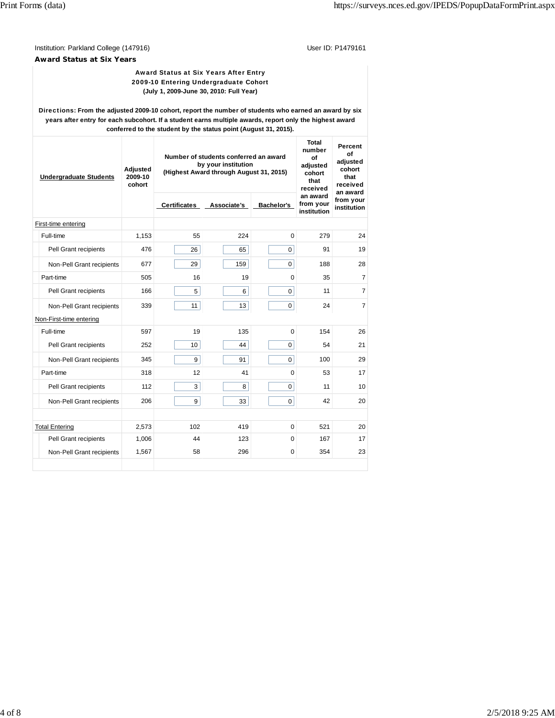Institution: Parkland College (147916) <br>
User ID: P1479161

**Award Status at Six Years**

# Award Status at Six Years After Entry 2009-10 Entering Undergraduate Cohort **(July 1, 2009-June 30, 2010: Full Year)**

Directions: **From the adjusted 2009-10 cohort, report the number of students who earned an award by six years after entry for each subcohort. If a student earns multiple awards, report only the highest award conferred to the student by the status point (August 31, 2015).**

| <b>Undergraduate Students</b> | Adjusted<br>2009-10<br>cohort | Number of students conferred an award<br>by your institution<br>(Highest Award through August 31, 2015) | Total<br>number<br>of<br>adjusted<br>cohort<br>that<br>received | Percent<br>Ωf<br>adiusted<br>cohort<br>that<br>received<br>an award |                                      |                          |
|-------------------------------|-------------------------------|---------------------------------------------------------------------------------------------------------|-----------------------------------------------------------------|---------------------------------------------------------------------|--------------------------------------|--------------------------|
|                               |                               | <b>Certificates</b>                                                                                     | Associate's                                                     | Bachelor's                                                          | an award<br>from your<br>institution | from your<br>institution |
| First-time entering           |                               |                                                                                                         |                                                                 |                                                                     |                                      |                          |
| Full-time                     | 1,153                         | 55                                                                                                      | 224                                                             | $\Omega$                                                            | 279                                  | 24                       |
| Pell Grant recipients         | 476                           | 26                                                                                                      | 65                                                              | $\Omega$                                                            | 91                                   | 19                       |
| Non-Pell Grant recipients     | 677                           | 29                                                                                                      | 159                                                             | 0                                                                   | 188                                  | 28                       |
| Part-time                     | 505                           | 16                                                                                                      | 19                                                              | 0                                                                   | 35                                   | $\overline{7}$           |
| Pell Grant recipients         | 166                           | 5                                                                                                       | 6                                                               | $\Omega$                                                            | 11                                   | $\overline{7}$           |
| Non-Pell Grant recipients     | 339                           | 11                                                                                                      | 13                                                              | $\mathbf 0$                                                         | 24                                   | $\overline{7}$           |
| Non-First-time entering       |                               |                                                                                                         |                                                                 |                                                                     |                                      |                          |
| Full-time                     | 597                           | 19                                                                                                      | 135                                                             | 0                                                                   | 154                                  | 26                       |
| Pell Grant recipients         | 252                           | 10                                                                                                      | 44                                                              | $\mathbf 0$                                                         | 54                                   | 21                       |
| Non-Pell Grant recipients     | 345                           | 9                                                                                                       | 91                                                              | $\Omega$                                                            | 100                                  | 29                       |
| Part-time                     | 318                           | 12                                                                                                      | 41                                                              | $\Omega$                                                            | 53                                   | 17                       |
| Pell Grant recipients         | 112                           | 3                                                                                                       | 8                                                               | $\Omega$                                                            | 11                                   | 10                       |
| Non-Pell Grant recipients     | 206                           | 9                                                                                                       | 33                                                              | 0                                                                   | 42                                   | 20                       |
|                               |                               |                                                                                                         |                                                                 |                                                                     |                                      |                          |
| <b>Total Entering</b>         | 2,573                         | 102                                                                                                     | 419                                                             | 0                                                                   | 521                                  | 20                       |
| Pell Grant recipients         | 1,006                         | 44                                                                                                      | 123                                                             | 0                                                                   | 167                                  | 17                       |
| Non-Pell Grant recipients     | 1,567                         | 58                                                                                                      | 296                                                             | 0                                                                   | 354                                  | 23                       |
|                               |                               |                                                                                                         |                                                                 |                                                                     |                                      |                          |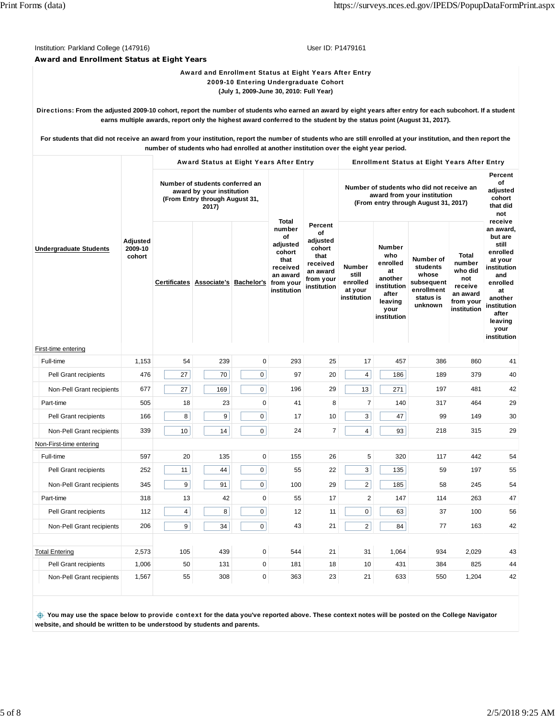Institution: Parkland College (147916) Contract College (1479161) Contract College (1479161)

**Award and Enrollment Status at Eight Years**

Award and Enrollment Status at Eight Years After Entry 2009-10 Entering Undergraduate Cohort **(July 1, 2009-June 30, 2010: Full Year)**

Directions: **From the adjusted 2009-10 cohort, report the number of students who earned an award by eight years after entry for each subcohort. If a student earns multiple awards, report only the highest award conferred to the student by the status point (August 31, 2017).**

**For students that did not receive an award from your institution, report the number of students who are still enrolled at your institution, and then report the number of students who had enrolled at another institution over the eight year period.**

|                               |                               |                                                                                                         | Award Status at Eight Years After Entry |                     |                                                                                                         |                                                                                                 | <b>Enrollment Status at Eight Years After Entry</b>                                                              |                                                                                                             |                                                                                    |                                                                                             |                                                                                                                                                               |
|-------------------------------|-------------------------------|---------------------------------------------------------------------------------------------------------|-----------------------------------------|---------------------|---------------------------------------------------------------------------------------------------------|-------------------------------------------------------------------------------------------------|------------------------------------------------------------------------------------------------------------------|-------------------------------------------------------------------------------------------------------------|------------------------------------------------------------------------------------|---------------------------------------------------------------------------------------------|---------------------------------------------------------------------------------------------------------------------------------------------------------------|
| <b>Undergraduate Students</b> | Adjusted<br>2009-10<br>cohort | Number of students conferred an<br>award by your institution<br>(From Entry through August 31,<br>2017) |                                         |                     |                                                                                                         |                                                                                                 | Number of students who did not receive an<br>award from your institution<br>(From entry through August 31, 2017) | Percent<br>οf<br>adjusted<br>cohort<br>that did<br>not                                                      |                                                                                    |                                                                                             |                                                                                                                                                               |
|                               |                               |                                                                                                         | Certificates Associate's Bachelor's     |                     | Total<br>number<br>of<br>adjusted<br>cohort<br>that<br>received<br>an award<br>from your<br>institution | Percent<br>of<br>adjusted<br>cohort<br>that<br>received<br>an award<br>from your<br>institution | Number<br>still<br>enrolled<br>at your<br>institution                                                            | <b>Number</b><br>who<br>enrolled<br>at<br>another<br>institution<br>after<br>leaving<br>your<br>institution | Number of<br>students<br>whose<br>subsequent<br>enrollment<br>status is<br>unknown | <b>Total</b><br>number<br>who did<br>not<br>receive<br>an award<br>from your<br>institution | receive<br>an award,<br>but are<br>still<br>enrolled<br>at your<br>institution<br>and<br>enrolled<br>at<br>another<br>institution<br>after<br>leaving<br>your |
| First-time entering           |                               |                                                                                                         |                                         |                     |                                                                                                         |                                                                                                 |                                                                                                                  |                                                                                                             |                                                                                    |                                                                                             |                                                                                                                                                               |
| Full-time                     | 1,153                         | 54                                                                                                      | 239                                     | 0                   | 293                                                                                                     | 25                                                                                              | 17                                                                                                               | 457                                                                                                         | 386                                                                                | 860                                                                                         | 41                                                                                                                                                            |
| Pell Grant recipients         | 476                           | 27                                                                                                      | 70                                      | $\mathbf 0$         | 97                                                                                                      | 20                                                                                              | 4                                                                                                                | 186                                                                                                         | 189                                                                                | 379                                                                                         | 40                                                                                                                                                            |
| Non-Pell Grant recipients     | 677                           | 27                                                                                                      | 169                                     | 0                   | 196                                                                                                     | 29                                                                                              | 13                                                                                                               | 271                                                                                                         | 197                                                                                | 481                                                                                         | 42                                                                                                                                                            |
| Part-time                     | 505                           | 18                                                                                                      | 23                                      | $\mathbf 0$         | 41                                                                                                      | 8                                                                                               | $\overline{7}$                                                                                                   | 140                                                                                                         | 317                                                                                | 464                                                                                         | 29                                                                                                                                                            |
| Pell Grant recipients         | 166                           | 8                                                                                                       | 9                                       | $\mathsf{O}\xspace$ | 17                                                                                                      | 10                                                                                              | 3                                                                                                                | 47                                                                                                          | 99                                                                                 | 149                                                                                         | 30                                                                                                                                                            |
| Non-Pell Grant recipients     | 339                           | 10                                                                                                      | 14                                      | 0                   | 24                                                                                                      | $\overline{7}$                                                                                  | 4                                                                                                                | 93                                                                                                          | 218                                                                                | 315                                                                                         | 29                                                                                                                                                            |
| Non-First-time entering       |                               |                                                                                                         |                                         |                     |                                                                                                         |                                                                                                 |                                                                                                                  |                                                                                                             |                                                                                    |                                                                                             |                                                                                                                                                               |
| Full-time                     | 597                           | 20                                                                                                      | 135                                     | 0                   | 155                                                                                                     | 26                                                                                              | 5                                                                                                                | 320                                                                                                         | 117                                                                                | 442                                                                                         | 54                                                                                                                                                            |
| Pell Grant recipients         | 252                           | 11                                                                                                      | 44                                      | $\mathbf 0$         | 55                                                                                                      | 22                                                                                              | 3                                                                                                                | 135                                                                                                         | 59                                                                                 | 197                                                                                         | 55                                                                                                                                                            |
| Non-Pell Grant recipients     | 345                           | 9                                                                                                       | 91                                      | $\mathbf 0$         | 100                                                                                                     | 29                                                                                              | $\overline{2}$                                                                                                   | 185                                                                                                         | 58                                                                                 | 245                                                                                         | 54                                                                                                                                                            |
| Part-time                     | 318                           | 13                                                                                                      | 42                                      | $\mathbf 0$         | 55                                                                                                      | 17                                                                                              | $\overline{2}$                                                                                                   | 147                                                                                                         | 114                                                                                | 263                                                                                         | 47                                                                                                                                                            |
| Pell Grant recipients         | 112                           | $\overline{4}$                                                                                          | 8                                       | $\mathbf 0$         | 12                                                                                                      | 11                                                                                              | 0                                                                                                                | 63                                                                                                          | 37                                                                                 | 100                                                                                         | 56                                                                                                                                                            |
| Non-Pell Grant recipients     | 206                           | 9                                                                                                       | 34                                      | 0                   | 43                                                                                                      | 21                                                                                              | $\overline{\mathbf{c}}$                                                                                          | 84                                                                                                          | 77                                                                                 | 163                                                                                         | 42                                                                                                                                                            |
| <b>Total Entering</b>         | 2,573                         | 105                                                                                                     | 439                                     | 0                   | 544                                                                                                     | 21                                                                                              | 31                                                                                                               | 1,064                                                                                                       | 934                                                                                | 2,029                                                                                       | 43                                                                                                                                                            |
| Pell Grant recipients         | 1,006                         | 50                                                                                                      | 131                                     | 0                   | 181                                                                                                     | 18                                                                                              | 10                                                                                                               | 431                                                                                                         | 384                                                                                | 825                                                                                         | 44                                                                                                                                                            |
| Non-Pell Grant recipients     | 1,567                         | 55                                                                                                      | 308                                     | 0                   | 363                                                                                                     | 23                                                                                              | 21                                                                                                               | 633                                                                                                         | 550                                                                                | 1,204                                                                                       | 42                                                                                                                                                            |

 **You may use the space below to** provide context **for the data you've reported above. These context notes will be posted on the College Navigator website, and should be written to be understood by students and parents.**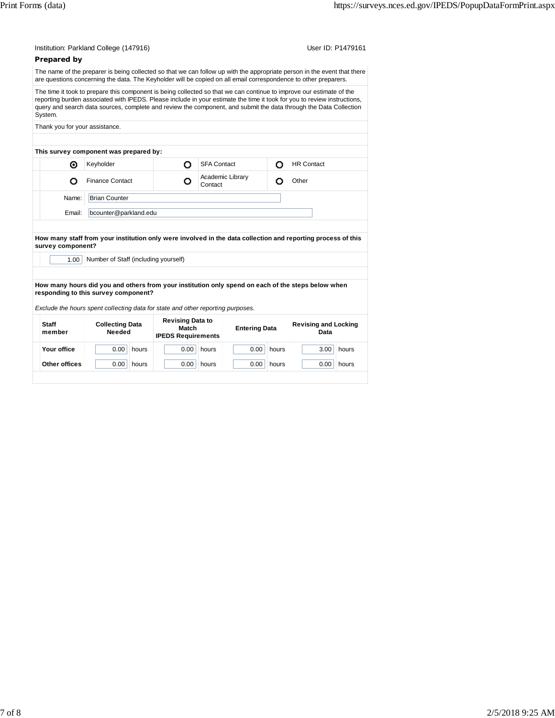| Prepared by                    | The name of the preparer is being collected so that we can follow up with the appropriate person in the event that there<br>are questions concerning the data. The Keyholder will be copied on all email correspondence to other preparers.                                                                                                                           |                                                               |                             |                      |       |                                     |       |
|--------------------------------|-----------------------------------------------------------------------------------------------------------------------------------------------------------------------------------------------------------------------------------------------------------------------------------------------------------------------------------------------------------------------|---------------------------------------------------------------|-----------------------------|----------------------|-------|-------------------------------------|-------|
| System.                        | The time it took to prepare this component is being collected so that we can continue to improve our estimate of the<br>reporting burden associated with IPEDS. Please include in your estimate the time it took for you to review instructions,<br>query and search data sources, complete and review the component, and submit the data through the Data Collection |                                                               |                             |                      |       |                                     |       |
| Thank you for your assistance. |                                                                                                                                                                                                                                                                                                                                                                       |                                                               |                             |                      |       |                                     |       |
|                                |                                                                                                                                                                                                                                                                                                                                                                       |                                                               |                             |                      |       |                                     |       |
| ⊙                              | This survey component was prepared by:<br>Keyholder                                                                                                                                                                                                                                                                                                                   | O                                                             | <b>SFA Contact</b>          |                      | O     | <b>HR Contact</b>                   |       |
| ο                              | <b>Finance Contact</b>                                                                                                                                                                                                                                                                                                                                                | О                                                             | Academic Library<br>Contact |                      | о     | Other                               |       |
|                                |                                                                                                                                                                                                                                                                                                                                                                       |                                                               |                             |                      |       |                                     |       |
| Name:                          | <b>Brian Counter</b>                                                                                                                                                                                                                                                                                                                                                  |                                                               |                             |                      |       |                                     |       |
| Email:                         | bcounter@parkland.edu                                                                                                                                                                                                                                                                                                                                                 |                                                               |                             |                      |       |                                     |       |
| survey component?<br>1.00      | How many staff from your institution only were involved in the data collection and reporting process of this<br>Number of Staff (including yourself)<br>How many hours did you and others from your institution only spend on each of the steps below when<br>responding to this survey component?                                                                    |                                                               |                             |                      |       |                                     |       |
| <b>Staff</b><br>member         | Exclude the hours spent collecting data for state and other reporting purposes.<br><b>Collecting Data</b><br>Needed                                                                                                                                                                                                                                                   | <b>Revising Data to</b><br>Match<br><b>IPEDS Requirements</b> |                             | <b>Entering Data</b> |       | <b>Revising and Locking</b><br>Data |       |
| Your office                    | 0.00<br>hours                                                                                                                                                                                                                                                                                                                                                         | 0.00                                                          | hours                       | 0.00                 | hours | 3.00                                | hours |